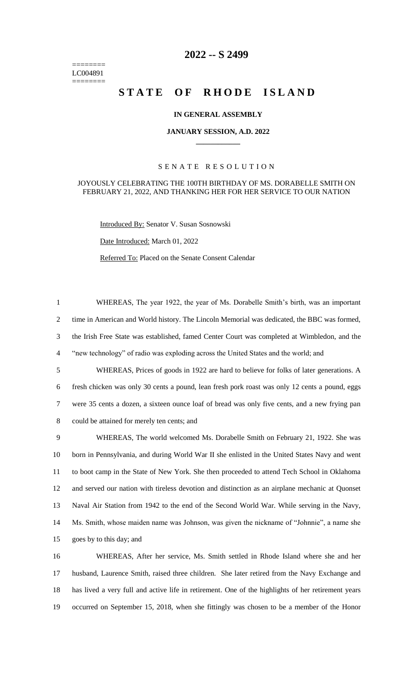======== LC004891 ========

# **-- S 2499**

# **STATE OF RHODE ISLAND**

## **IN GENERAL ASSEMBLY**

#### **JANUARY SESSION, A.D. 2022 \_\_\_\_\_\_\_\_\_\_\_\_**

## S E N A T E R E S O L U T I O N

#### JOYOUSLY CELEBRATING THE 100TH BIRTHDAY OF MS. DORABELLE SMITH ON FEBRUARY 21, 2022, AND THANKING HER FOR HER SERVICE TO OUR NATION

Introduced By: Senator V. Susan Sosnowski

Date Introduced: March 01, 2022

Referred To: Placed on the Senate Consent Calendar

 WHEREAS, The year 1922, the year of Ms. Dorabelle Smith's birth, was an important time in American and World history. The Lincoln Memorial was dedicated, the BBC was formed, the Irish Free State was established, famed Center Court was completed at Wimbledon, and the "new technology" of radio was exploding across the United States and the world; and WHEREAS, Prices of goods in 1922 are hard to believe for folks of later generations. A fresh chicken was only 30 cents a pound, lean fresh pork roast was only 12 cents a pound, eggs were 35 cents a dozen, a sixteen ounce loaf of bread was only five cents, and a new frying pan could be attained for merely ten cents; and WHEREAS, The world welcomed Ms. Dorabelle Smith on February 21, 1922. She was born in Pennsylvania, and during World War II she enlisted in the United States Navy and went to boot camp in the State of New York. She then proceeded to attend Tech School in Oklahoma and served our nation with tireless devotion and distinction as an airplane mechanic at Quonset

 Naval Air Station from 1942 to the end of the Second World War. While serving in the Navy, Ms. Smith, whose maiden name was Johnson, was given the nickname of "Johnnie", a name she goes by to this day; and

 WHEREAS, After her service, Ms. Smith settled in Rhode Island where she and her husband, Laurence Smith, raised three children. She later retired from the Navy Exchange and has lived a very full and active life in retirement. One of the highlights of her retirement years occurred on September 15, 2018, when she fittingly was chosen to be a member of the Honor